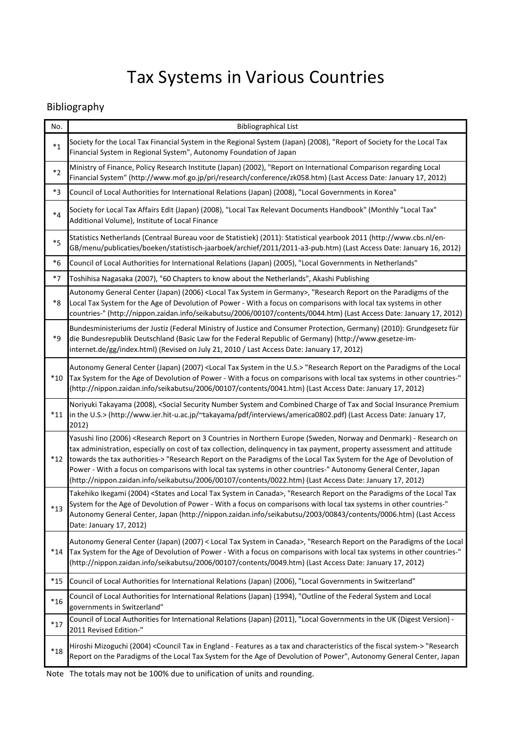## Bibliography

| No.     | <b>Bibliographical List</b>                                                                                                                                                                                                                                                                                                                                                                                                                                                                                                                                                                                                                                  |  |  |  |
|---------|--------------------------------------------------------------------------------------------------------------------------------------------------------------------------------------------------------------------------------------------------------------------------------------------------------------------------------------------------------------------------------------------------------------------------------------------------------------------------------------------------------------------------------------------------------------------------------------------------------------------------------------------------------------|--|--|--|
| $*_{1}$ | Society for the Local Tax Financial System in the Regional System (Japan) (2008), "Report of Society for the Local Tax<br>Financial System in Regional System", Autonomy Foundation of Japan                                                                                                                                                                                                                                                                                                                                                                                                                                                                 |  |  |  |
| $*_{2}$ | Ministry of Finance, Policy Research Institute (Japan) (2002), "Report on International Comparison regarding Local<br>Financial System" (http://www.mof.go.jp/pri/research/conference/zk058.htm) (Last Access Date: January 17, 2012)                                                                                                                                                                                                                                                                                                                                                                                                                        |  |  |  |
| *3      | Council of Local Authorities for International Relations (Japan) (2008), "Local Governments in Korea"                                                                                                                                                                                                                                                                                                                                                                                                                                                                                                                                                        |  |  |  |
| $*_{4}$ | Society for Local Tax Affairs Edit (Japan) (2008), "Local Tax Relevant Documents Handbook" (Monthly "Local Tax"<br>Additional Volume), Institute of Local Finance                                                                                                                                                                                                                                                                                                                                                                                                                                                                                            |  |  |  |
| $*5$    | Statistics Netherlands (Centraal Bureau voor de Statistiek) (2011): Statistical yearbook 2011 (http://www.cbs.nl/en-<br>GB/menu/publicaties/boeken/statistisch-jaarboek/archief/2011/2011-a3-pub.htm) (Last Access Date: January 16, 2012)                                                                                                                                                                                                                                                                                                                                                                                                                   |  |  |  |
| $^*6$   | Council of Local Authorities for International Relations (Japan) (2005), "Local Governments in Netherlands"                                                                                                                                                                                                                                                                                                                                                                                                                                                                                                                                                  |  |  |  |
| $*7$    | Toshihisa Nagasaka (2007), "60 Chapters to know about the Netherlands", Akashi Publishing                                                                                                                                                                                                                                                                                                                                                                                                                                                                                                                                                                    |  |  |  |
| $*8$    | Autonomy General Center (Japan) (2006) <local germany="" in="" system="" tax="">, "Research Report on the Paradigms of the<br/>Local Tax System for the Age of Devolution of Power - With a focus on comparisons with local tax systems in other<br/>countries-" (http://nippon.zaidan.info/seikabutsu/2006/00107/contents/0044.htm) (Last Access Date: January 17, 2012)</local>                                                                                                                                                                                                                                                                            |  |  |  |
| *9      | Bundesministeriums der Justiz (Federal Ministry of Justice and Consumer Protection, Germany) (2010): Grundgesetz für<br>die Bundesrepublik Deutschland (Basic Law for the Federal Republic of Germany) (http://www.gesetze-im-<br>internet.de/gg/index.html) (Revised on July 21, 2010 / Last Access Date: January 17, 2012)                                                                                                                                                                                                                                                                                                                                 |  |  |  |
| $*10$   | Autonomy General Center (Japan) (2007) <local in="" system="" tax="" the="" u.s.=""> "Research Report on the Paradigms of the Local<br/>Tax System for the Age of Devolution of Power - With a focus on comparisons with local tax systems in other countries-"<br/>(http://nippon.zaidan.info/seikabutsu/2006/00107/contents/0041.htm) (Last Access Date: January 17, 2012)</local>                                                                                                                                                                                                                                                                         |  |  |  |
| $*11$   | Noriyuki Takayama (2008), <social and="" charge="" combined="" insurance="" number="" of="" premium<br="" security="" social="" system="" tax="">in the U.S.&gt; (http://www.ier.hit-u.ac.jp/~takayama/pdf/interviews/america0802.pdf) (Last Access Date: January 17,<br/>2012)</social>                                                                                                                                                                                                                                                                                                                                                                     |  |  |  |
| $*12$   | Yasushi lino (2006) <research (sweden,="" -="" 3="" and="" countries="" denmark)="" europe="" in="" northern="" norway="" on="" on<br="" report="" research="">tax administration, especially on cost of tax collection, delinquency in tax payment, property assessment and attitude<br/>towards the tax authorities-&gt; "Research Report on the Paradigms of the Local Tax System for the Age of Devolution of<br/>Power - With a focus on comparisons with local tax systems in other countries-" Autonomy General Center, Japan<br/>(http://nippon.zaidan.info/seikabutsu/2006/00107/contents/0022.htm) (Last Access Date: January 17, 2012)</research> |  |  |  |
| $*13$   | Takehiko Ikegami (2004) <states and="" canada="" in="" local="" system="" tax="">, "Research Report on the Paradigms of the Local Tax<br/>System for the Age of Devolution of Power - With a focus on comparisons with local tax systems in other countries-"<br/>Autonomy General Center, Japan (http://nippon.zaidan.info/seikabutsu/2003/00843/contents/0006.htm) (Last Access<br/>Date: January 17, 2012)</states>                                                                                                                                                                                                                                       |  |  |  |
| $*14$   | Autonomy General Center (Japan) (2007) < Local Tax System in Canada>, "Research Report on the Paradigms of the Local<br>Tax System for the Age of Devolution of Power - With a focus on comparisons with local tax systems in other countries-"<br>(http://nippon.zaidan.info/seikabutsu/2006/00107/contents/0049.htm) (Last Access Date: January 17, 2012)                                                                                                                                                                                                                                                                                                  |  |  |  |
| $*15$   | Council of Local Authorities for International Relations (Japan) (2006), "Local Governments in Switzerland"                                                                                                                                                                                                                                                                                                                                                                                                                                                                                                                                                  |  |  |  |
| $*16$   | Council of Local Authorities for International Relations (Japan) (1994), "Outline of the Federal System and Local<br>governments in Switzerland"                                                                                                                                                                                                                                                                                                                                                                                                                                                                                                             |  |  |  |
| $*17$   | Council of Local Authorities for International Relations (Japan) (2011), "Local Governments in the UK (Digest Version) -<br>2011 Revised Edition-"                                                                                                                                                                                                                                                                                                                                                                                                                                                                                                           |  |  |  |
| $*18$   | Hiroshi Mizoguchi (2004) <council -="" a="" and="" as="" characteristics="" england="" features="" fiscal="" in="" of="" system-="" tax="" the=""> "Research<br/>Report on the Paradigms of the Local Tax System for the Age of Devolution of Power", Autonomy General Center, Japan</council>                                                                                                                                                                                                                                                                                                                                                               |  |  |  |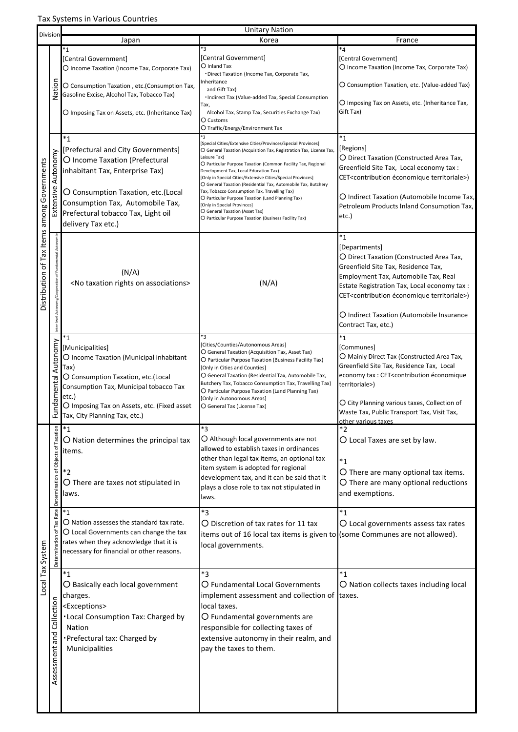| Division                                    |                                               | <b>Unitary Nation</b>                                                                                                                                                                                                                                    |                                                                                                                                                                                                                                                                                                                                                                                                                                                                                                                                                                                                                                     |                                                                                                                                                                                                                                                                                                                                          |  |  |
|---------------------------------------------|-----------------------------------------------|----------------------------------------------------------------------------------------------------------------------------------------------------------------------------------------------------------------------------------------------------------|-------------------------------------------------------------------------------------------------------------------------------------------------------------------------------------------------------------------------------------------------------------------------------------------------------------------------------------------------------------------------------------------------------------------------------------------------------------------------------------------------------------------------------------------------------------------------------------------------------------------------------------|------------------------------------------------------------------------------------------------------------------------------------------------------------------------------------------------------------------------------------------------------------------------------------------------------------------------------------------|--|--|
|                                             |                                               | Japan                                                                                                                                                                                                                                                    | Korea                                                                                                                                                                                                                                                                                                                                                                                                                                                                                                                                                                                                                               | France                                                                                                                                                                                                                                                                                                                                   |  |  |
|                                             | Nation                                        | *1<br>[Central Government]<br>O Income Taxation (Income Tax, Corporate Tax)                                                                                                                                                                              | *3<br>[Central Government]<br>O Inland Tax                                                                                                                                                                                                                                                                                                                                                                                                                                                                                                                                                                                          | *4<br>[Central Government]<br>O Income Taxation (Income Tax, Corporate Tax)                                                                                                                                                                                                                                                              |  |  |
|                                             |                                               | O Consumption Taxation, etc. (Consumption Tax,<br>Gasoline Excise, Alcohol Tax, Tobacco Tax)<br>O Imposing Tax on Assets, etc. (Inheritance Tax)                                                                                                         | • Direct Taxation (Income Tax, Corporate Tax,<br>Inheritance<br>and Gift Tax)<br>. Indirect Tax (Value-added Tax, Special Consumption<br>Тах,<br>Alcohol Tax, Stamp Tax, Securities Exchange Tax)<br>O Customs                                                                                                                                                                                                                                                                                                                                                                                                                      | O Consumption Taxation, etc. (Value-added Tax)<br>O Imposing Tax on Assets, etc. (Inheritance Tax,<br>Gift Tax)                                                                                                                                                                                                                          |  |  |
|                                             |                                               |                                                                                                                                                                                                                                                          | O Traffic/Energy/Environment Tax                                                                                                                                                                                                                                                                                                                                                                                                                                                                                                                                                                                                    |                                                                                                                                                                                                                                                                                                                                          |  |  |
| Distribution of Tax Items among Governments | Extensive Autonomy                            | $*_{1}$<br>[Prefectural and City Governments]<br>O Income Taxation (Prefectural<br>inhabitant Tax, Enterprise Tax)<br>O Consumption Taxation, etc.(Local<br>Consumption Tax, Automobile Tax,<br>Prefectural tobacco Tax, Light oil<br>delivery Tax etc.) | *3<br>[Special Cities/Extensive Cities/Provinces/Special Provinces]<br>O General Taxation (Acquisition Tax, Registration Tax, License Tax,<br>Leisure Tax)<br>O Particular Purpose Taxation (Common Facility Tax, Regional<br>Development Tax, Local Education Tax)<br>[Only in Special Cities/Extensive Cities/Special Provinces]<br>O General Taxation (Residential Tax, Automobile Tax, Butchery<br>Tax, Tobacco Consumption Tax, Travelling Tax)<br>O Particular Purpose Taxation (Land Planning Tax)<br>[Only in Special Provinces]<br>O General Taxation (Asset Tax)<br>O Particular Purpose Taxation (Business Facility Tax) | $^*1$<br>[Regions]<br>O Direct Taxation (Constructed Area Tax,<br>Greenfield Site Tax, Local economy tax :<br>CET <contribution territoriale="" économique="">)<br/>O Indirect Taxation (Automobile Income Tax,<br/>Petroleum Products Inland Consumption Tax,<br/>etc.)</contribution>                                                  |  |  |
|                                             | Autonomy/Cooperation of Fundamental Autonomie | (N/A)<br><no associations="" on="" rights="" taxation=""></no>                                                                                                                                                                                           | (N/A)                                                                                                                                                                                                                                                                                                                                                                                                                                                                                                                                                                                                                               | *1<br>[Departments]<br>O Direct Taxation (Constructed Area Tax,<br>Greenfield Site Tax, Residence Tax,<br>Employment Tax, Automobile Tax, Real<br>Estate Registration Tax, Local economy tax :<br>CET <contribution territoriale="" économique="">)<br/>O Indirect Taxation (Automobile Insurance<br/>Contract Tax, etc.)</contribution> |  |  |
|                                             | Autonomy<br>Fundamental                       | *1<br>[Municipalities]<br>O Income Taxation (Municipal inhabitant<br>Tax)<br>O Consumption Taxation, etc.(Local<br>Consumption Tax, Municipal tobacco Tax<br>etc.)<br>O Imposing Tax on Assets, etc. (Fixed asset<br>Tax, City Planning Tax, etc.)       | *3<br>[Cities/Counties/Autonomous Areas]<br>O General Taxation (Acquisition Tax, Asset Tax)<br>O Particular Purpose Taxation (Business Facility Tax)<br>[Only in Cities and Counties]<br>O General Taxation (Residential Tax, Automobile Tax,<br>Butchery Tax, Tobacco Consumption Tax, Travelling Tax)<br>O Particular Purpose Taxation (Land Planning Tax)<br>[Only in Autonomous Areas]<br>O General Tax (License Tax)                                                                                                                                                                                                           | *1<br>[Communes]<br>O Mainly Direct Tax (Constructed Area Tax,<br>Greenfield Site Tax, Residence Tax, Local<br>economy tax : CET <contribution économique<br="">territoriale&gt;)<br/>O City Planning various taxes, Collection of<br/>Waste Tax, Public Transport Tax, Visit Tax,</contribution>                                        |  |  |
| Local Tax System                            | Determination of Objects of Taxation          | $^*1$<br>$\bigcirc$ Nation determines the principal tax<br>items.<br>$*_{2}$<br>$\bigcirc$ There are taxes not stipulated in<br>laws.                                                                                                                    | $*3$<br>O Although local governments are not<br>allowed to establish taxes in ordinances<br>other than legal tax items, an optional tax<br>item system is adopted for regional<br>development tax, and it can be said that it<br>plays a close role to tax not stipulated in<br>laws.                                                                                                                                                                                                                                                                                                                                               | other various taxes<br>*2<br>O Local Taxes are set by law.<br>$^*1$<br>O There are many optional tax items.<br>O There are many optional reductions<br>and exemptions.                                                                                                                                                                   |  |  |
|                                             | Rate<br>Determination of Tax                  | $^*1$<br>O Nation assesses the standard tax rate.<br>O Local Governments can change the tax<br>rates when they acknowledge that it is<br>necessary for financial or other reasons.                                                                       | $*3$<br>O Discretion of tax rates for 11 tax<br>items out of 16 local tax items is given to (some Communes are not allowed).<br>local governments.                                                                                                                                                                                                                                                                                                                                                                                                                                                                                  | $^*1$<br>O Local governments assess tax rates                                                                                                                                                                                                                                                                                            |  |  |
|                                             | Assessment and Collection                     | $^*1$<br>$\bigcirc$ Basically each local government<br>charges.<br><exceptions><br/>. Local Consumption Tax: Charged by<br/>Nation<br/>Prefectural tax: Charged by<br/>Municipalities</exceptions>                                                       | $*_{3}$<br>O Fundamental Local Governments<br>implement assessment and collection of taxes.<br>local taxes.<br>$\bigcirc$ Fundamental governments are<br>responsible for collecting taxes of<br>extensive autonomy in their realm, and<br>pay the taxes to them.                                                                                                                                                                                                                                                                                                                                                                    | $*_{1}$<br>O Nation collects taxes including local                                                                                                                                                                                                                                                                                       |  |  |

Ť.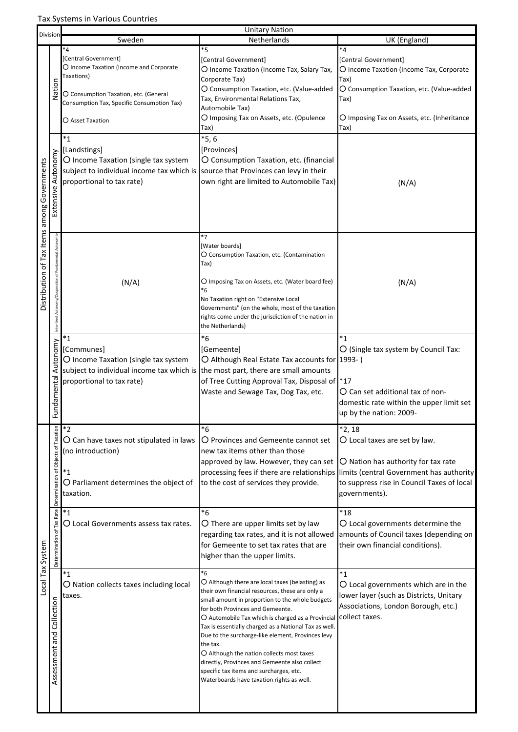| Division                                    |                                                           | <b>Unitary Nation</b>                                                            |                                                          |                                             |  |  |
|---------------------------------------------|-----------------------------------------------------------|----------------------------------------------------------------------------------|----------------------------------------------------------|---------------------------------------------|--|--|
|                                             |                                                           | Sweden                                                                           | Netherlands                                              | UK (England)                                |  |  |
|                                             |                                                           | *4                                                                               | *5                                                       | *4                                          |  |  |
|                                             |                                                           | [Central Government]                                                             | [Central Government]                                     | [Central Government]                        |  |  |
|                                             |                                                           | O Income Taxation (Income and Corporate                                          | O Income Taxation (Income Tax, Salary Tax,               | O Income Taxation (Income Tax, Corporate    |  |  |
|                                             |                                                           | Taxations)                                                                       |                                                          |                                             |  |  |
|                                             | Nation                                                    |                                                                                  | Corporate Tax)                                           | Tax)                                        |  |  |
|                                             |                                                           | O Consumption Taxation, etc. (General                                            | O Consumption Taxation, etc. (Value-added                | O Consumption Taxation, etc. (Value-added   |  |  |
|                                             |                                                           | Consumption Tax, Specific Consumption Tax)                                       | Tax, Environmental Relations Tax,                        | Tax)                                        |  |  |
|                                             |                                                           |                                                                                  | Automobile Tax)                                          |                                             |  |  |
|                                             |                                                           | O Asset Taxation                                                                 | O Imposing Tax on Assets, etc. (Opulence                 | O Imposing Tax on Assets, etc. (Inheritance |  |  |
|                                             |                                                           |                                                                                  | Tax)                                                     | Tax)                                        |  |  |
|                                             |                                                           | $*_{1}$                                                                          | $*5,6$                                                   |                                             |  |  |
|                                             |                                                           | [Landstings]                                                                     | [Provinces]                                              |                                             |  |  |
|                                             |                                                           |                                                                                  |                                                          |                                             |  |  |
|                                             |                                                           | O Income Taxation (single tax system                                             | O Consumption Taxation, etc. (financial                  |                                             |  |  |
|                                             |                                                           | subject to individual income tax which is                                        | source that Provinces can levy in their                  |                                             |  |  |
|                                             |                                                           | proportional to tax rate)                                                        | own right are limited to Automobile Tax)                 | (N/A)                                       |  |  |
|                                             | Extensive Autonomy                                        |                                                                                  |                                                          |                                             |  |  |
|                                             |                                                           |                                                                                  |                                                          |                                             |  |  |
|                                             |                                                           |                                                                                  |                                                          |                                             |  |  |
|                                             |                                                           |                                                                                  |                                                          |                                             |  |  |
|                                             |                                                           |                                                                                  |                                                          |                                             |  |  |
|                                             |                                                           |                                                                                  | $*7$                                                     |                                             |  |  |
|                                             |                                                           |                                                                                  | [Water boards]                                           |                                             |  |  |
|                                             |                                                           |                                                                                  | O Consumption Taxation, etc. (Contamination              |                                             |  |  |
|                                             |                                                           |                                                                                  | Tax)                                                     |                                             |  |  |
| Distribution of Tax Items among Governments | Inter-level Autonomy/Cooperation of Fundamental Autonomie |                                                                                  |                                                          |                                             |  |  |
|                                             |                                                           | (N/A)                                                                            | O Imposing Tax on Assets, etc. (Water board fee)         | (N/A)                                       |  |  |
|                                             |                                                           |                                                                                  | *6                                                       |                                             |  |  |
|                                             |                                                           |                                                                                  | No Taxation right on "Extensive Local                    |                                             |  |  |
|                                             |                                                           |                                                                                  | Governments" (on the whole, most of the taxation         |                                             |  |  |
|                                             |                                                           |                                                                                  | rights come under the jurisdiction of the nation in      |                                             |  |  |
|                                             |                                                           |                                                                                  | the Netherlands)                                         |                                             |  |  |
|                                             |                                                           | $^*1$                                                                            | $*6$                                                     | *1                                          |  |  |
|                                             |                                                           |                                                                                  |                                                          |                                             |  |  |
|                                             |                                                           | [Communes]                                                                       | [Gemeente]                                               | O (Single tax system by Council Tax:        |  |  |
|                                             | Autonomy                                                  | O Income Taxation (single tax system                                             | O Although Real Estate Tax accounts for 1993-)           |                                             |  |  |
|                                             |                                                           | subject to individual income tax which is the most part, there are small amounts |                                                          |                                             |  |  |
|                                             |                                                           | proportional to tax rate)                                                        | of Tree Cutting Approval Tax, Disposal of  *17           |                                             |  |  |
|                                             |                                                           |                                                                                  | Waste and Sewage Tax, Dog Tax, etc.                      | O Can set additional tax of non-            |  |  |
|                                             |                                                           |                                                                                  |                                                          |                                             |  |  |
|                                             | Fundamental                                               |                                                                                  |                                                          | domestic rate within the upper limit set    |  |  |
|                                             |                                                           |                                                                                  |                                                          | up by the nation: 2009-                     |  |  |
|                                             |                                                           | $*_{2}$                                                                          | *6                                                       | *2, 18                                      |  |  |
|                                             |                                                           |                                                                                  |                                                          |                                             |  |  |
|                                             |                                                           | O Can have taxes not stipulated in laws                                          | O Provinces and Gemeente cannot set                      | $O$ Local taxes are set by law.             |  |  |
|                                             |                                                           | (no introduction)                                                                | new tax items other than those                           |                                             |  |  |
|                                             |                                                           |                                                                                  | approved by law. However, they can set                   | O Nation has authority for tax rate         |  |  |
|                                             |                                                           | $*_{1}$                                                                          | processing fees if there are relationships               | limits (central Government has authority    |  |  |
|                                             |                                                           | O Parliament determines the object of                                            | to the cost of services they provide.                    | to suppress rise in Council Taxes of local  |  |  |
|                                             |                                                           | taxation.                                                                        |                                                          |                                             |  |  |
|                                             | Determination of Objects of Taxation                      |                                                                                  |                                                          | governments).                               |  |  |
|                                             |                                                           | $^\ast1$                                                                         | $*6$                                                     | $^{\ast}18$                                 |  |  |
|                                             | Rate                                                      |                                                                                  |                                                          |                                             |  |  |
|                                             |                                                           | O Local Governments assess tax rates.                                            | O There are upper limits set by law                      | O Local governments determine the           |  |  |
|                                             |                                                           |                                                                                  | regarding tax rates, and it is not allowed               | amounts of Council taxes (depending on      |  |  |
|                                             |                                                           |                                                                                  | for Gemeente to set tax rates that are                   | their own financial conditions).            |  |  |
|                                             |                                                           |                                                                                  | higher than the upper limits.                            |                                             |  |  |
| Local Tax System                            | Determination of Tax                                      |                                                                                  |                                                          |                                             |  |  |
|                                             |                                                           | $*_{1}$                                                                          | *6                                                       | $*_{1}$                                     |  |  |
|                                             |                                                           | O Nation collects taxes including local                                          | $\bigcirc$ Although there are local taxes (belasting) as | $O$ Local governments which are in the      |  |  |
|                                             |                                                           |                                                                                  | their own financial resources, these are only a          | lower layer (such as Districts, Unitary     |  |  |
|                                             |                                                           | taxes.                                                                           | small amount in proportion to the whole budgets          |                                             |  |  |
|                                             |                                                           |                                                                                  | for both Provinces and Gemeente.                         | Associations, London Borough, etc.)         |  |  |
|                                             | Collection                                                |                                                                                  | O Automobile Tax which is charged as a Provincial        | collect taxes.                              |  |  |
|                                             |                                                           |                                                                                  | Tax is essentially charged as a National Tax as well.    |                                             |  |  |
|                                             | and                                                       |                                                                                  | Due to the surcharge-like element, Provinces levy        |                                             |  |  |
|                                             |                                                           |                                                                                  | the tax.                                                 |                                             |  |  |
|                                             |                                                           |                                                                                  | O Although the nation collects most taxes                |                                             |  |  |
|                                             |                                                           |                                                                                  | directly, Provinces and Gemeente also collect            |                                             |  |  |
|                                             | Assessment                                                |                                                                                  | specific tax items and surcharges, etc.                  |                                             |  |  |
|                                             |                                                           |                                                                                  | Waterboards have taxation rights as well.                |                                             |  |  |
|                                             |                                                           |                                                                                  |                                                          |                                             |  |  |
|                                             |                                                           |                                                                                  |                                                          |                                             |  |  |
|                                             |                                                           |                                                                                  |                                                          |                                             |  |  |